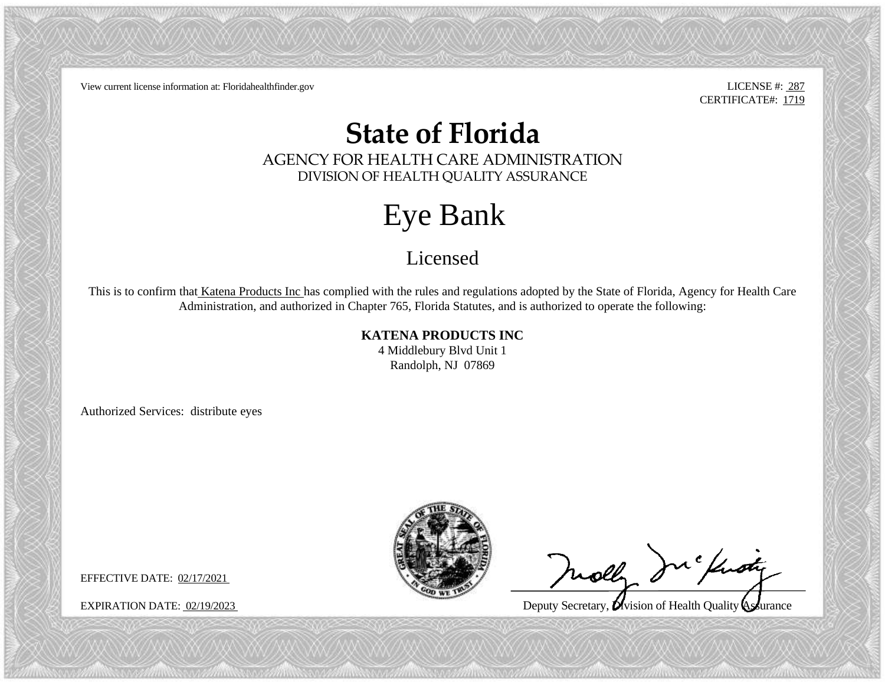View current license information at: Floridahealthfinder.gov LICENSE #: 287

CERTIFICATE#: 1719

## **State of Florida**

AGENCY FOR HEALTH CARE ADMINISTRATION DIVISION OF HEALTH QUALITY ASSURANCE

## Eye Bank

Licensed

This is to confirm that Katena Products Inc has complied with the rules and regulations adopted by the State of Florida, Agency for Health Care Administration, and authorized in Chapter 765, Florida Statutes, and is authorized to operate the following:

**KATENA PRODUCTS INC**

4 Middlebury Blvd Unit 1 Randolph, NJ 07869

Authorized Services: distribute eyes



molly In findy

 $\ddot{\phantom{0}}$ 

EXPIRATION DATE: 02/19/2023 Deputy Secretary, Unision of Health Quality Assurance

EFFECTIVE DATE: 02/17/2021